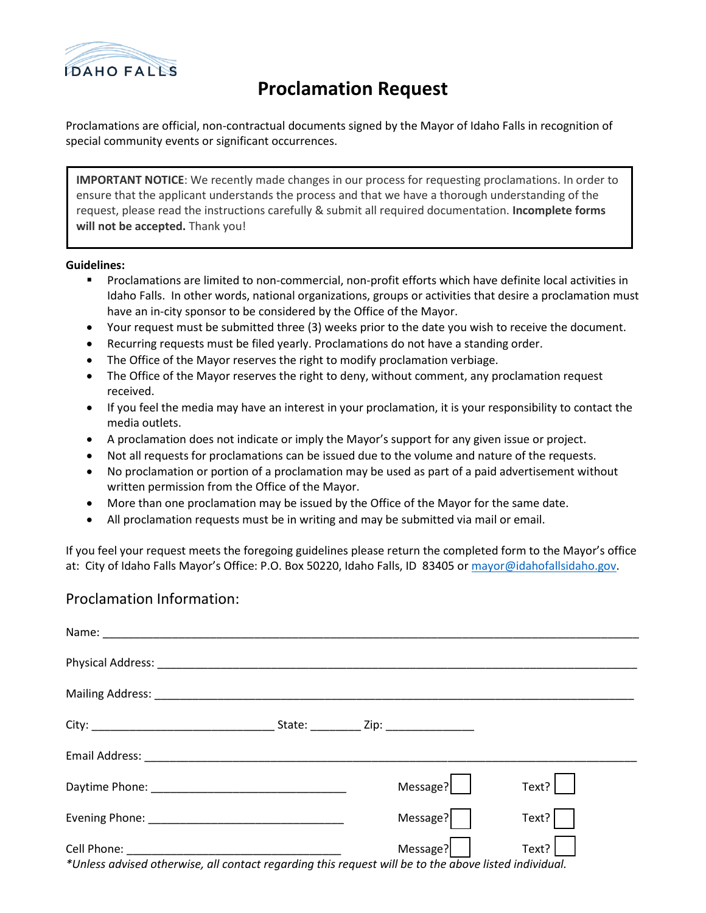

## **Proclamation Request**

Proclamations are official, non-contractual documents signed by the Mayor of Idaho Falls in recognition of special community events or significant occurrences.

**IMPORTANT NOTICE**: We recently made changes in our process for requesting proclamations. In order to ensure that the applicant understands the process and that we have a thorough understanding of the request, please read the instructions carefully & submit all required documentation. **Incomplete forms will not be accepted.** Thank you!

## **Guidelines:**

- Proclamations are limited to non-commercial, non-profit efforts which have definite local activities in Idaho Falls. In other words, national organizations, groups or activities that desire a proclamation must have an in-city sponsor to be considered by the Office of the Mayor.
- Your request must be submitted three (3) weeks prior to the date you wish to receive the document.
- Recurring requests must be filed yearly. Proclamations do not have a standing order.
- The Office of the Mayor reserves the right to modify proclamation verbiage.
- The Office of the Mayor reserves the right to deny, without comment, any proclamation request received.
- If you feel the media may have an interest in your proclamation, it is your responsibility to contact the media outlets.
- A proclamation does not indicate or imply the Mayor's support for any given issue or project.
- Not all requests for proclamations can be issued due to the volume and nature of the requests.
- No proclamation or portion of a proclamation may be used as part of a paid advertisement without written permission from the Office of the Mayor.
- More than one proclamation may be issued by the Office of the Mayor for the same date.
- All proclamation requests must be in writing and may be submitted via mail or email.

If you feel your request meets the foregoing guidelines please return the completed form to the Mayor's office at: City of Idaho Falls Mayor's Office: P.O. Box 50220, Idaho Falls, ID 83405 or [mayor@idahofallsidaho.gov.](mailto:mayor@idahofallsidaho.gov)

## Proclamation Information:

|                                                                                                       | Message? | Text? |
|-------------------------------------------------------------------------------------------------------|----------|-------|
|                                                                                                       | Message? | Text? |
|                                                                                                       | Message? | Text? |
| *Unless advised otherwise, all contact regarding this request will be to the above listed individual. |          |       |